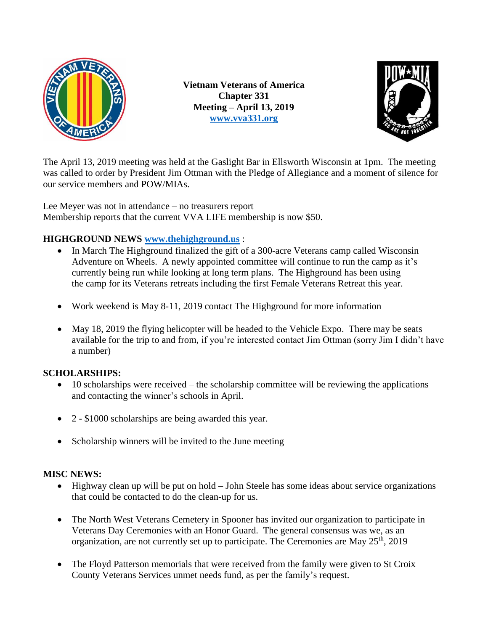

**Vietnam Veterans of America Chapter 331 Meeting – April 13, 2019 [www.vva331.org](http://www.vva331.org/)**



The April 13, 2019 meeting was held at the Gaslight Bar in Ellsworth Wisconsin at 1pm. The meeting was called to order by President Jim Ottman with the Pledge of Allegiance and a moment of silence for our service members and POW/MIAs.

Lee Meyer was not in attendance – no treasurers report Membership reports that the current VVA LIFE membership is now \$50.

# **HIGHGROUND NEWS [www.thehighground.us](http://www.thehighground.us/)** :

- In March The Highground finalized the gift of a 300-acre Veterans camp called Wisconsin Adventure on Wheels. A newly appointed committee will continue to run the camp as it's currently being run while looking at long term plans. The Highground has been using the camp for its Veterans retreats including the first Female Veterans Retreat this year.
- Work weekend is May 8-11, 2019 contact The Highground for more information
- May 18, 2019 the flying helicopter will be headed to the Vehicle Expo. There may be seats available for the trip to and from, if you're interested contact Jim Ottman (sorry Jim I didn't have a number)

## **SCHOLARSHIPS:**

- $\bullet$  10 scholarships were received the scholarship committee will be reviewing the applications and contacting the winner's schools in April.
- 2 \$1000 scholarships are being awarded this year.
- Scholarship winners will be invited to the June meeting

## **MISC NEWS:**

- Highway clean up will be put on hold John Steele has some ideas about service organizations that could be contacted to do the clean-up for us.
- The North West Veterans Cemetery in Spooner has invited our organization to participate in Veterans Day Ceremonies with an Honor Guard. The general consensus was we, as an organization, are not currently set up to participate. The Ceremonies are May  $25<sup>th</sup>$ , 2019
- The Floyd Patterson memorials that were received from the family were given to St Croix County Veterans Services unmet needs fund, as per the family's request.